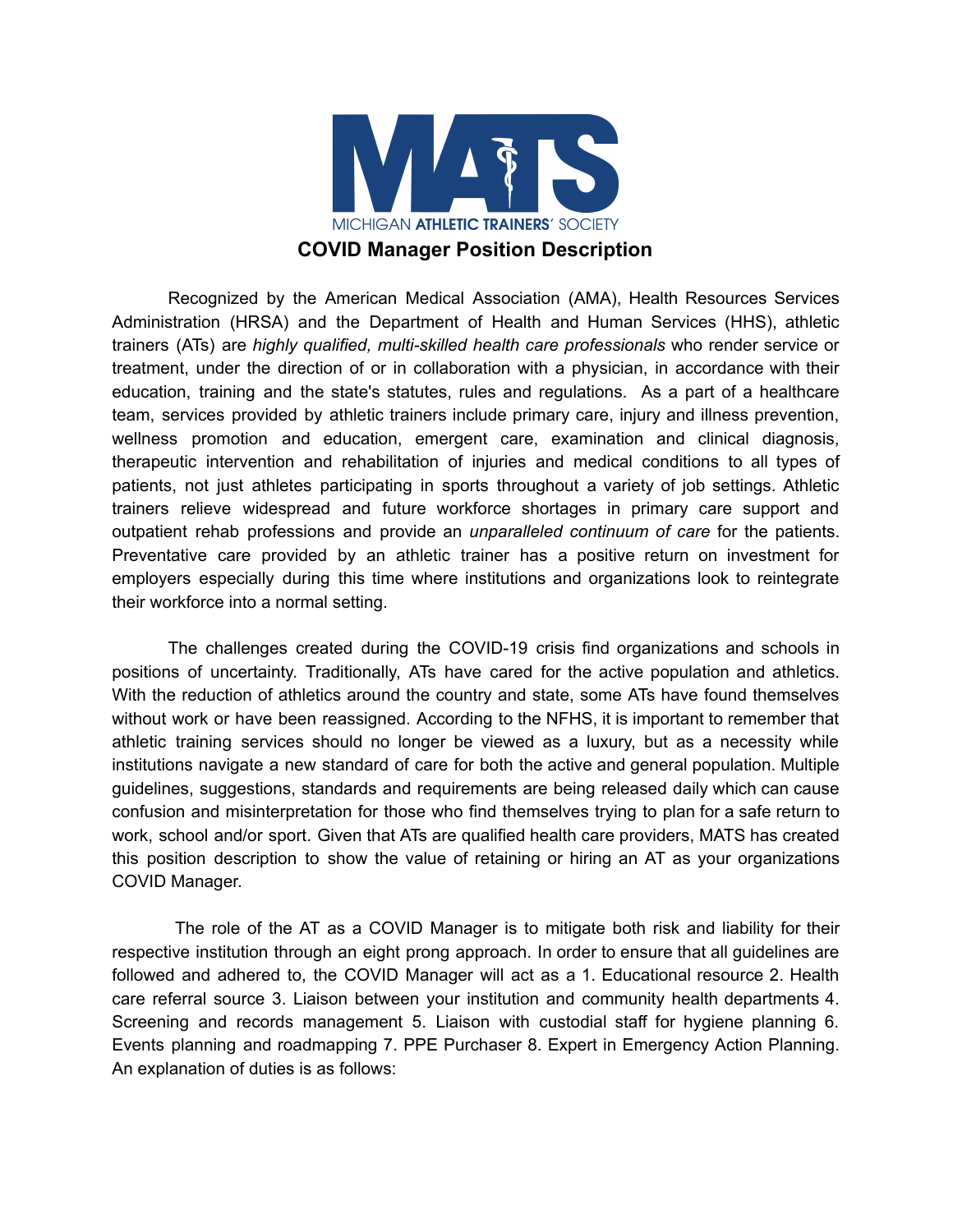

Recognized by the American Medical Association (AMA), Health Resources Services Administration (HRSA) and the Department of Health and Human Services (HHS), athletic trainers (ATs) are *highly qualified, multi-skilled health care professionals* who render service or treatment, under the direction of or in collaboration with a physician, in accordance with their education, training and the state's statutes, rules and regulations. As a part of a healthcare team, services provided by athletic trainers include primary care, injury and illness prevention, wellness promotion and education, emergent care, examination and clinical diagnosis, therapeutic intervention and rehabilitation of injuries and medical conditions to all types of patients, not just athletes participating in sports throughout a variety of job settings. Athletic trainers relieve widespread and future workforce shortages in primary care support and outpatient rehab professions and provide an *unparalleled continuum of care* for the patients. Preventative care provided by an athletic trainer has a positive return on investment for employers especially during this time where institutions and organizations look to reintegrate their workforce into a normal setting.

The challenges created during the COVID-19 crisis find organizations and schools in positions of uncertainty. Traditionally, ATs have cared for the active population and athletics. With the reduction of athletics around the country and state, some ATs have found themselves without work or have been reassigned. According to the NFHS, it is important to remember that athletic training services should no longer be viewed as a luxury, but as a necessity while institutions navigate a new standard of care for both the active and general population. Multiple guidelines, suggestions, standards and requirements are being released daily which can cause confusion and misinterpretation for those who find themselves trying to plan for a safe return to work, school and/or sport. Given that ATs are qualified health care providers, MATS has created this position description to show the value of retaining or hiring an AT as your organizations COVID Manager.

The role of the AT as a COVID Manager is to mitigate both risk and liability for their respective institution through an eight prong approach. In order to ensure that all guidelines are followed and adhered to, the COVID Manager will act as a 1. Educational resource 2. Health care referral source 3. Liaison between your institution and community health departments 4. Screening and records management 5. Liaison with custodial staff for hygiene planning 6. Events planning and roadmapping 7. PPE Purchaser 8. Expert in Emergency Action Planning. An explanation of duties is as follows: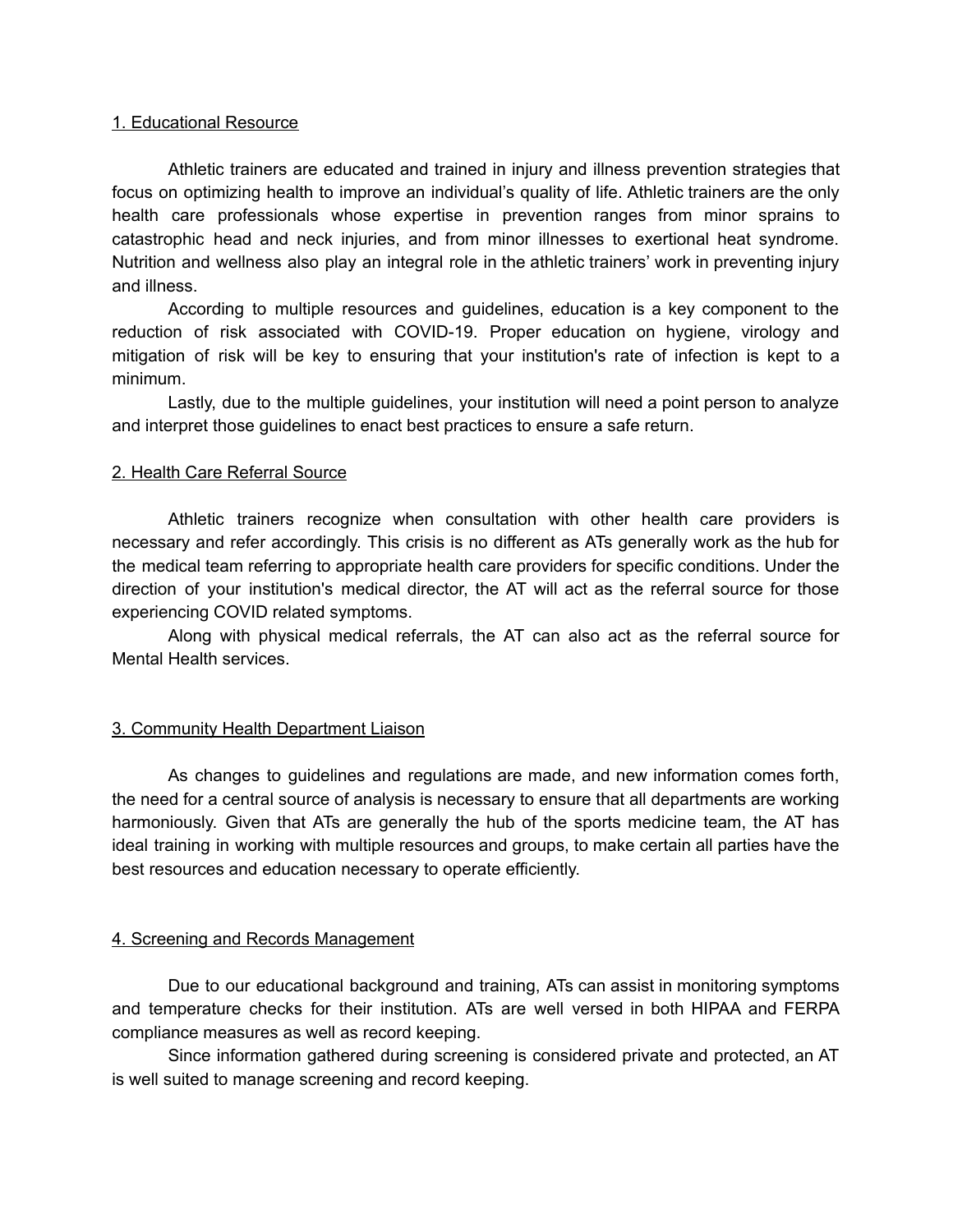### 1. Educational Resource

Athletic trainers are educated and trained in injury and illness prevention strategies that focus on optimizing health to improve an individual's quality of life. Athletic trainers are the only health care professionals whose expertise in prevention ranges from minor sprains to catastrophic head and neck injuries, and from minor illnesses to exertional heat syndrome. Nutrition and wellness also play an integral role in the athletic trainers' work in preventing injury and illness.

According to multiple resources and guidelines, education is a key component to the reduction of risk associated with COVID-19. Proper education on hygiene, virology and mitigation of risk will be key to ensuring that your institution's rate of infection is kept to a minimum.

Lastly, due to the multiple guidelines, your institution will need a point person to analyze and interpret those guidelines to enact best practices to ensure a safe return.

### 2. Health Care Referral Source

Athletic trainers recognize when consultation with other health care providers is necessary and refer accordingly. This crisis is no different as ATs generally work as the hub for the medical team referring to appropriate health care providers for specific conditions. Under the direction of your institution's medical director, the AT will act as the referral source for those experiencing COVID related symptoms.

Along with physical medical referrals, the AT can also act as the referral source for Mental Health services.

# 3. Community Health Department Liaison

As changes to guidelines and regulations are made, and new information comes forth, the need for a central source of analysis is necessary to ensure that all departments are working harmoniously. Given that ATs are generally the hub of the sports medicine team, the AT has ideal training in working with multiple resources and groups, to make certain all parties have the best resources and education necessary to operate efficiently.

# 4. Screening and Records Management

Due to our educational background and training, ATs can assist in monitoring symptoms and temperature checks for their institution. ATs are well versed in both HIPAA and FERPA compliance measures as well as record keeping.

Since information gathered during screening is considered private and protected, an AT is well suited to manage screening and record keeping.